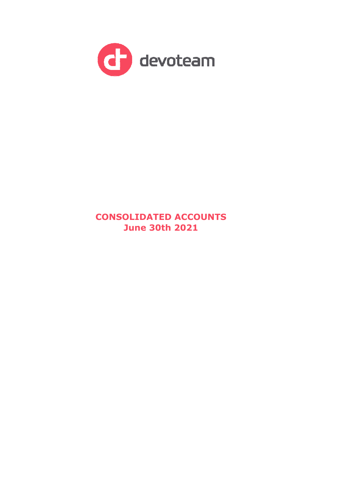

# **CONSOLIDATED ACCOUNTS June 30th 2021**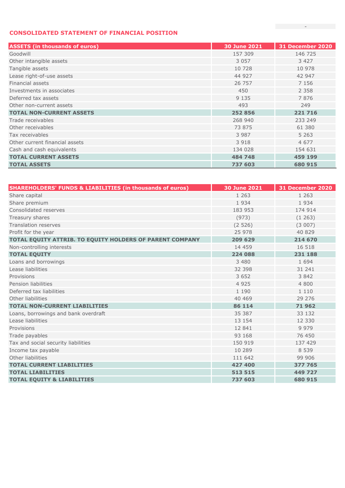### **CONSOLIDATED STATEMENT OF FINANCIAL POSITION**

| <b>ASSETS (in thousands of euros)</b> | 30 June 2021 | 31 December 2020 |
|---------------------------------------|--------------|------------------|
| Goodwill                              | 157 309      | 146 725          |
| Other intangible assets               | 3 0 5 7      | 3 4 2 7          |
| Tangible assets                       | 10 728       | 10 978           |
| Lease right-of-use assets             | 44 927       | 42 947           |
| Financial assets                      | 26 757       | 7 1 5 6          |
| Investments in associates             | 450          | 2 3 5 8          |
| Deferred tax assets                   | 9 1 3 5      | 7876             |
| Other non-current assets              | 493          | 249              |
| <b>TOTAL NON-CURRENT ASSETS</b>       | 252 856      | 221 716          |
| Trade receivables                     | 268 940      | 233 249          |
| Other receivables                     | 73 875       | 61 380           |
| Tax receivables                       | 3 9 8 7      | 5 2 6 3          |
| Other current financial assets        | 3 9 1 8      | 4 6 7 7          |
| Cash and cash equivalents             | 134 028      | 154 631          |
| <b>TOTAL CURRENT ASSETS</b>           | 484 748      | 459 199          |
| <b>TOTAL ASSETS</b>                   | 737 603      | 680 915          |

| <b>SHAREHOLDERS' FUNDS &amp; LIABILITIES (in thousands of euros)</b> | 30 June 2021 | <b>31 December 2020</b> |
|----------------------------------------------------------------------|--------------|-------------------------|
| Share capital                                                        | 1 2 6 3      | 1 2 6 3                 |
| Share premium                                                        | 1934         | 1934                    |
| Consolidated reserves                                                | 183 953      | 174 914                 |
| Treasury shares                                                      | (973)        | (1263)                  |
| <b>Translation reserves</b>                                          | (2526)       | (3007)                  |
| Profit for the year                                                  | 25 978       | 40 829                  |
| TOTAL EQUITY ATTRIB. TO EQUITY HOLDERS OF PARENT COMPANY             | 209 629      | 214 670                 |
| Non-controlling interests                                            | 14 459       | 16 5 18                 |
| <b>TOTAL EQUITY</b>                                                  | 224 088      | 231 188                 |
| Loans and borrowings                                                 | 3 4 8 0      | 1 6 9 4                 |
| Lease liabilities                                                    | 32 398       | 31 241                  |
| Provisions                                                           | 3 6 5 2      | 3842                    |
| Pension liabilities                                                  | 4 9 2 5      | 4800                    |
| Deferred tax liabilities                                             | 1 1 9 0      | 1 1 1 0                 |
| Other liabilities                                                    | 40 469       | 29 27 6                 |
| <b>TOTAL NON-CURRENT LIABILITIES</b>                                 | 86 114       | 71962                   |
| Loans, borrowings and bank overdraft                                 | 35 387       | 33 132                  |
| Lease liabilities                                                    | 13 154       | 12 3 3 0                |
| Provisions                                                           | 12 841       | 9979                    |
| Trade payables                                                       | 93 168       | 76 450                  |
| Tax and social security liabilities                                  | 150 919      | 137 429                 |
| Income tax payable                                                   | 10 289       | 8 5 3 9                 |
| Other liabilities                                                    | 111 642      | 99 906                  |
| <b>TOTAL CURRENT LIABILITIES</b>                                     | 427 400      | 377 765                 |
| <b>TOTAL LIABILITIES</b>                                             | 513 515      | 449 727                 |
| <b>TOTAL EQUITY &amp; LIABILITIES</b>                                | 737 603      | 680 915                 |

**Controller State**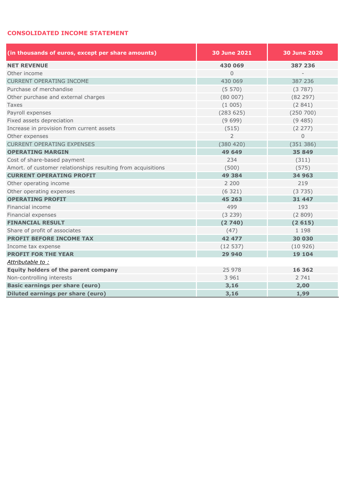## **CONSOLIDATED INCOME STATEMENT**

| (in thousands of euros, except per share amounts)            | <b>30 June 2021</b> | <b>30 June 2020</b>      |  |  |
|--------------------------------------------------------------|---------------------|--------------------------|--|--|
| <b>NET REVENUE</b>                                           | 430 069             | 387 236                  |  |  |
| Other income                                                 | $\overline{0}$      | $\overline{\phantom{a}}$ |  |  |
| <b>CURRENT OPERATING INCOME</b>                              | 430 069             | 387 236                  |  |  |
| Purchase of merchandise                                      | (5570)              | (3787)                   |  |  |
| Other purchase and external charges                          | (80007)             | (82 297)                 |  |  |
| Taxes                                                        | (1005)              | (2841)                   |  |  |
| Payroll expenses                                             | (283 625)           | (250 700)                |  |  |
| Fixed assets depreciation                                    | (9699)              | (9485)                   |  |  |
| Increase in provision from current assets                    | (515)               | (2 277)                  |  |  |
| Other expenses                                               | $\overline{2}$      | $\Omega$                 |  |  |
| <b>CURRENT OPERATING EXPENSES</b>                            | (380 420)           | (351 386)                |  |  |
| <b>OPERATING MARGIN</b>                                      | 49 649              | 35 849                   |  |  |
| Cost of share-based payment                                  | 234                 | (311)                    |  |  |
| Amort. of customer relationships resulting from acquisitions | (500)               | (575)                    |  |  |
| <b>CURRENT OPERATING PROFIT</b>                              | 49 3 84             | 34 963                   |  |  |
| Other operating income                                       | 2 2 0 0             | 219                      |  |  |
| Other operating expenses                                     | (6321)              | (3735)                   |  |  |
| <b>OPERATING PROFIT</b>                                      | 45 263              | 31 447                   |  |  |
| Financial income                                             | 499                 | 193                      |  |  |
| Financial expenses                                           | (3 239)             | (2809)                   |  |  |
| <b>FINANCIAL RESULT</b>                                      | (2740)              | (2615)                   |  |  |
| Share of profit of associates                                | (47)                | 1 1 9 8                  |  |  |
| <b>PROFIT BEFORE INCOME TAX</b>                              | 42 477              | 30 030                   |  |  |
| Income tax expense                                           | (12537)             | (10926)                  |  |  |
| <b>PROFIT FOR THE YEAR</b>                                   | 29 940              | 19 104                   |  |  |
| Attributable to:                                             |                     |                          |  |  |
| Equity holders of the parent company                         | 25 978              | 16 362                   |  |  |
| Non-controlling interests                                    | 3 9 6 1             | 2 741                    |  |  |
| <b>Basic earnings per share (euro)</b>                       | 3,16                | 2,00                     |  |  |
| Diluted earnings per share (euro)                            | 3,16                | 1,99                     |  |  |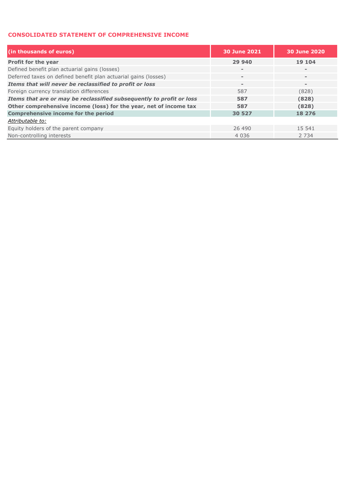#### **CONSOLIDATED STATEMENT OF COMPREHENSIVE INCOME**

| (in thousands of euros)                                              | <b>30 June 2021</b> | <b>30 June 2020</b>      |
|----------------------------------------------------------------------|---------------------|--------------------------|
| Profit for the year                                                  | 29 940              | 19 104                   |
| Defined benefit plan actuarial gains (losses)                        | $\equiv$            | $\overline{\phantom{a}}$ |
| Deferred taxes on defined benefit plan actuarial gains (losses)      | $\qquad \qquad =$   | $\,$ $\,$                |
| Items that will never be reclassified to profit or loss              | $\qquad \qquad =$   | $\,$ $\,$                |
| Foreign currency translation differences                             | 587                 | (828)                    |
| Items that are or may be reclassified subsequently to profit or loss | 587                 | (828)                    |
| Other comprehensive income (loss) for the year, net of income tax    | 587                 | (828)                    |
| <b>Comprehensive income for the period</b>                           | 30 527              | 18 276                   |
| Attributable to:                                                     |                     |                          |
| Equity holders of the parent company                                 | 26 490              | 15 541                   |
| Non-controlling interests                                            | 4 0 3 6             | 2 7 3 4                  |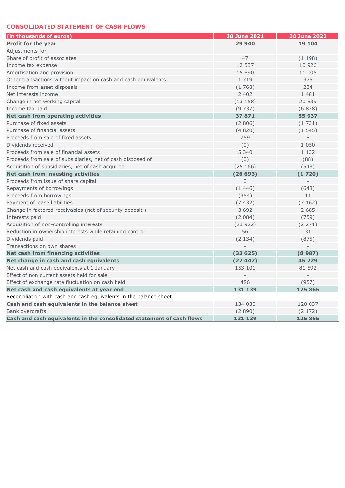#### **CONSOLIDATED STATEMENT OF CASH FLOWS**

| (in thousands of euros)                                               | <b>30 June 2021</b> | 30 June 2020 |
|-----------------------------------------------------------------------|---------------------|--------------|
| Profit for the year                                                   | 29 940              | 19 104       |
| Adjustments for:                                                      |                     |              |
| Share of profit of associates                                         | 47                  | (1198)       |
| Income tax expense                                                    | 12 537              | 10 926       |
| Amortisation and provision                                            | 15 890              | 11 005       |
| Other transactions without impact on cash and cash equivalents        | 1 7 1 9             | 375          |
| Income from asset disposals                                           | (1768)              | 234          |
| Net interests income                                                  | 2 4 0 2             | 1 4 8 1      |
| Change in net working capital                                         | (13158)             | 20 839       |
| Income tax paid                                                       | (9737)              | (6828)       |
| Net cash from operating activities                                    | 37871               | 55 937       |
| Purchase of fixed assets                                              | (2806)              | (1731)       |
| Purchase of financial assets                                          | (4820)              | (1545)       |
| Proceeds from sale of fixed assets                                    | 759                 | 8            |
| Dividends received                                                    | (0)                 | 1 0 5 0      |
| Proceeds from sale of financial assets                                | 5 3 4 0             | 1 1 3 2      |
| Proceeds from sale of subsidiaries, net of cash disposed of           | (0)                 | (88)         |
| Acquisition of subsidiaries, net of cash acquired                     | (25166)             | (548)        |
| <b>Net cash from investing activities</b>                             | (26693)             | (1720)       |
| Proceeds from issue of share capital                                  | $\overline{0}$      |              |
| Repayments of borrowings                                              | (1446)              | (648)        |
| Proceeds from borrowings                                              | (354)               | 11           |
| Payment of lease liabilities                                          | (7432)              | (7162)       |
| Change in factored receivables (net of security deposit)              | 3 6 9 2             | 2 685        |
| Interests paid                                                        | (2084)              | (759)        |
| Acquisition of non-controlling interests                              | (23922)             | (2 271)      |
| Reduction in ownership interests while retaining control              | 56                  | 31           |
| Dividends paid                                                        | (2134)              | (875)        |
| Transactions on own shares                                            |                     |              |
| <b>Net cash from financing activities</b>                             | (33625)             | (8987)       |
| Net change in cash and cash equivalents                               | (22447)             | 45 229       |
| Net cash and cash equivalents at 1 January                            | 153 101             | 81 592       |
| Effect of non current assets held for sale                            |                     |              |
| Effect of exchange rate fluctuation on cash held                      | 486                 | (957)        |
| Net cash and cash equivalents at year end                             | 131 139             | 125 865      |
| Reconciliation with cash and cash equivalents in the balance sheet    |                     |              |
| Cash and cash equivalents in the balance sheet                        | 134 030             | 128 037      |
| <b>Bank overdrafts</b>                                                | (2890)              | (2 172)      |
| Cash and cash equivalents in the consolidated statement of cash flows | 131 139             | 125 865      |